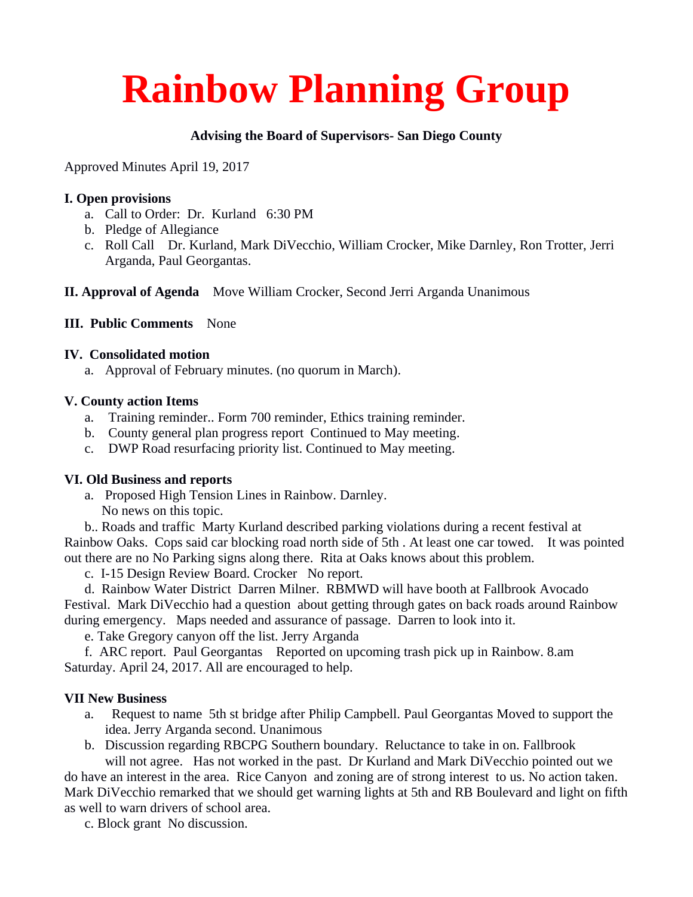# **Rainbow Planning Group**

## **Advising the Board of Supervisors- San Diego County**

Approved Minutes April 19, 2017

#### **I. Open provisions**

- a. Call to Order: Dr. Kurland 6:30 PM
- b. Pledge of Allegiance
- c. Roll Call Dr. Kurland, Mark DiVecchio, William Crocker, Mike Darnley, Ron Trotter, Jerri Arganda, Paul Georgantas.

**II. Approval of Agenda** Move William Crocker, Second Jerri Arganda Unanimous

## **III. Public Comments** None

#### **IV. Consolidated motion**

a. Approval of February minutes. (no quorum in March).

#### **V. County action Items**

- a. Training reminder.. Form 700 reminder, Ethics training reminder.
- b. County general plan progress report Continued to May meeting.
- c. DWP Road resurfacing priority list. Continued to May meeting.

## **VI. Old Business and reports**

a. Proposed High Tension Lines in Rainbow. Darnley. No news on this topic.

 b.. Roads and traffic Marty Kurland described parking violations during a recent festival at Rainbow Oaks. Cops said car blocking road north side of 5th . At least one car towed. It was pointed out there are no No Parking signs along there. Rita at Oaks knows about this problem.

c. I-15 Design Review Board. Crocker No report.

 d. Rainbow Water District Darren Milner. RBMWD will have booth at Fallbrook Avocado Festival. Mark DiVecchio had a question about getting through gates on back roads around Rainbow during emergency. Maps needed and assurance of passage. Darren to look into it.

e. Take Gregory canyon off the list. Jerry Arganda

 f. ARC report. Paul Georgantas Reported on upcoming trash pick up in Rainbow. 8.am Saturday. April 24, 2017. All are encouraged to help.

## **VII New Business**

- a. Request to name 5th st bridge after Philip Campbell. Paul Georgantas Moved to support the idea. Jerry Arganda second. Unanimous
- b. Discussion regarding RBCPG Southern boundary. Reluctance to take in on. Fallbrook will not agree. Has not worked in the past. Dr Kurland and Mark DiVecchio pointed out we

do have an interest in the area. Rice Canyon and zoning are of strong interest to us. No action taken. Mark DiVecchio remarked that we should get warning lights at 5th and RB Boulevard and light on fifth as well to warn drivers of school area.

c. Block grant No discussion.